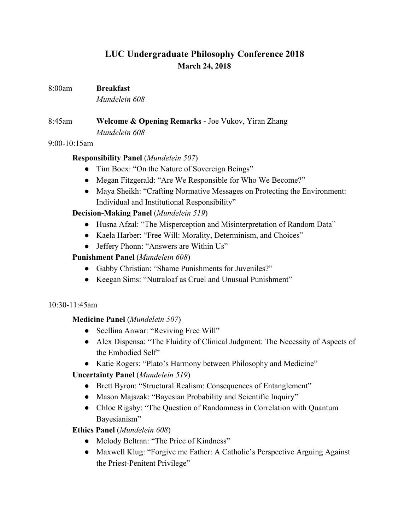# **LUC Undergraduate Philosophy Conference 2018 March 24, 2018**

#### 8:00am **Breakfast**

*Mundelein 608*

# 8:45am **Welcome & Opening Remarks -** Joe Vukov, Yiran Zhang *Mundelein 608*

#### 9:00-10:15am

### **Responsibility Panel** (*Mundelein 507*)

- Tim Boex: "On the Nature of Sovereign Beings"
- Megan Fitzgerald: "Are We Responsible for Who We Become?"
- Maya Sheikh: "Crafting Normative Messages on Protecting the Environment: Individual and Institutional Responsibility"

## **Decision-Making Panel** (*Mundelein 519*)

- Husna Afzal: "The Misperception and Misinterpretation of Random Data"
- Kaela Harber: "Free Will: Morality, Determinism, and Choices"
- Jeffery Phonn: "Answers are Within Us"

### **Punishment Panel** (*Mundelein 608*)

- Gabby Christian: "Shame Punishments for Juveniles?"
- Keegan Sims: "Nutraloaf as Cruel and Unusual Punishment"

### 10:30-11:45am

## **Medicine Panel** (*Mundelein 507*)

- Scellina Anwar: "Reviving Free Will"
- Alex Dispensa: "The Fluidity of Clinical Judgment: The Necessity of Aspects of the Embodied Self"
- Katie Rogers: "Plato's Harmony between Philosophy and Medicine"

## **Uncertainty Panel** (*Mundelein 519*)

- Brett Byron: "Structural Realism: Consequences of Entanglement"
- Mason Majszak: "Bayesian Probability and Scientific Inquiry"
- Chloe Rigsby: "The Question of Randomness in Correlation with Quantum Bayesianism"

## **Ethics Panel** (*Mundelein 608*)

- Melody Beltran: "The Price of Kindness"
- Maxwell Klug: "Forgive me Father: A Catholic's Perspective Arguing Against the Priest-Penitent Privilege"